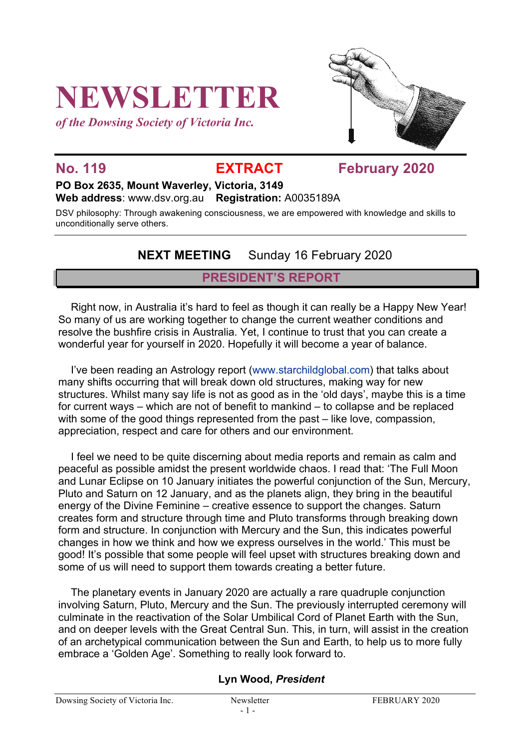# **NEWSLETTER**

*of the Dowsing Society of Victoria Inc.*



**No. 119 EXTRACT February 2020**

**PO Box 2635, Mount Waverley, Victoria, 3149** 

**Web address**: www.dsv.org.au **Registration:** A0035189A

DSV philosophy: Through awakening consciousness, we are empowered with knowledge and skills to unconditionally serve others.

# **NEXT MEETING** Sunday 16 February 2020

#### **PRESIDENT'S REPORT**

Right now, in Australia it's hard to feel as though it can really be a Happy New Year! So many of us are working together to change the current weather conditions and resolve the bushfire crisis in Australia. Yet, I continue to trust that you can create a wonderful year for yourself in 2020. Hopefully it will become a year of balance.

I've been reading an Astrology report (www.starchildglobal.com) that talks about many shifts occurring that will break down old structures, making way for new structures. Whilst many say life is not as good as in the 'old days', maybe this is a time for current ways – which are not of benefit to mankind – to collapse and be replaced with some of the good things represented from the past – like love, compassion, appreciation, respect and care for others and our environment.

I feel we need to be quite discerning about media reports and remain as calm and peaceful as possible amidst the present worldwide chaos. I read that: 'The Full Moon and Lunar Eclipse on 10 January initiates the powerful conjunction of the Sun, Mercury, Pluto and Saturn on 12 January, and as the planets align, they bring in the beautiful energy of the Divine Feminine – creative essence to support the changes. Saturn creates form and structure through time and Pluto transforms through breaking down form and structure. In conjunction with Mercury and the Sun, this indicates powerful changes in how we think and how we express ourselves in the world.' This must be good! It's possible that some people will feel upset with structures breaking down and some of us will need to support them towards creating a better future.

The planetary events in January 2020 are actually a rare quadruple conjunction involving Saturn, Pluto, Mercury and the Sun. The previously interrupted ceremony will culminate in the reactivation of the Solar Umbilical Cord of Planet Earth with the Sun, and on deeper levels with the Great Central Sun. This, in turn, will assist in the creation of an archetypical communication between the Sun and Earth, to help us to more fully embrace a 'Golden Age'. Something to really look forward to.

#### **Lyn Wood,** *President*

Dowsing Society of Victoria Inc. Newsletter Newsletter FEBRUARY 2020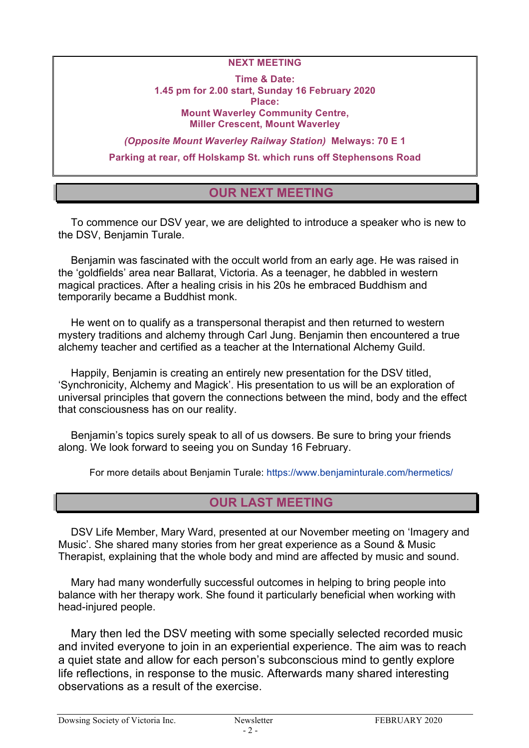#### **NEXT MEETING**

**Time & Date: 1.45 pm for 2.00 start, Sunday 16 February 2020 Place: Mount Waverley Community Centre, Miller Crescent, Mount Waverley**

*(Opposite Mount Waverley Railway Station)* **Melways: 70 E 1 Parking at rear, off Holskamp St. which runs off Stephensons Road**

### **OUR NEXT MEETING**

To commence our DSV year, we are delighted to introduce a speaker who is new to the DSV, Benjamin Turale.

Benjamin was fascinated with the occult world from an early age. He was raised in the 'goldfields' area near Ballarat, Victoria. As a teenager, he dabbled in western magical practices. After a healing crisis in his 20s he embraced Buddhism and temporarily became a Buddhist monk.

He went on to qualify as a transpersonal therapist and then returned to western mystery traditions and alchemy through Carl Jung. Benjamin then encountered a true alchemy teacher and certified as a teacher at the International Alchemy Guild.

Happily, Benjamin is creating an entirely new presentation for the DSV titled, 'Synchronicity, Alchemy and Magick'. His presentation to us will be an exploration of universal principles that govern the connections between the mind, body and the effect that consciousness has on our reality.

Benjamin's topics surely speak to all of us dowsers. Be sure to bring your friends along. We look forward to seeing you on Sunday 16 February.

For more details about Benjamin Turale: https://www.benjaminturale.com/hermetics/

#### **OUR LAST MEETING**

DSV Life Member, Mary Ward, presented at our November meeting on 'Imagery and Music'. She shared many stories from her great experience as a Sound & Music Therapist, explaining that the whole body and mind are affected by music and sound.

Mary had many wonderfully successful outcomes in helping to bring people into balance with her therapy work. She found it particularly beneficial when working with head-injured people.

Mary then led the DSV meeting with some specially selected recorded music and invited everyone to join in an experiential experience. The aim was to reach a quiet state and allow for each person's subconscious mind to gently explore life reflections, in response to the music. Afterwards many shared interesting observations as a result of the exercise.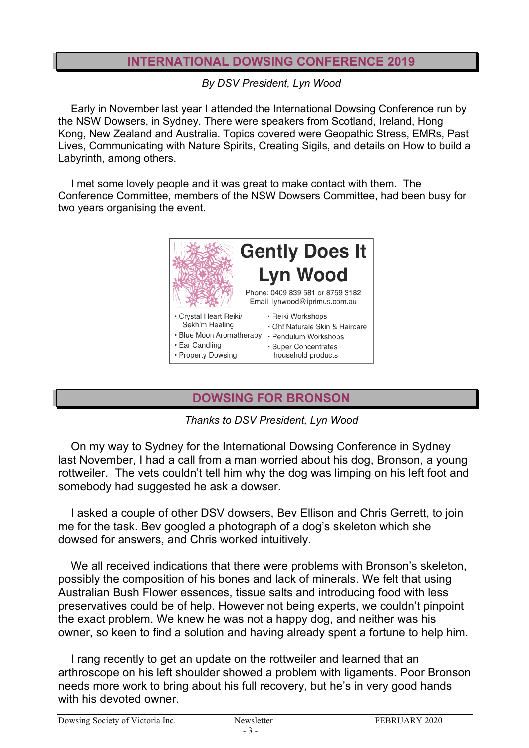## **INTERNATIONAL DOWSING CONFERENCE 2019**

*By DSV President, Lyn Wood*

Early in November last year I attended the International Dowsing Conference run by the NSW Dowsers, in Sydney. There were speakers from Scotland, Ireland, Hong Kong, New Zealand and Australia. Topics covered were Geopathic Stress, EMRs, Past Lives, Communicating with Nature Spirits, Creating Sigils, and details on How to build a Labyrinth, among others.

I met some lovely people and it was great to make contact with them. The Conference Committee, members of the NSW Dowsers Committee, had been busy for two years organising the event.



# **DOWSING FOR BRONSON**

*Thanks to DSV President, Lyn Wood*

On my way to Sydney for the International Dowsing Conference in Sydney last November, I had a call from a man worried about his dog, Bronson, a young rottweiler. The vets couldn't tell him why the dog was limping on his left foot and somebody had suggested he ask a dowser.

I asked a couple of other DSV dowsers, Bev Ellison and Chris Gerrett, to join me for the task. Bev googled a photograph of a dog's skeleton which she dowsed for answers, and Chris worked intuitively.

We all received indications that there were problems with Bronson's skeleton, possibly the composition of his bones and lack of minerals. We felt that using Australian Bush Flower essences, tissue salts and introducing food with less preservatives could be of help. However not being experts, we couldn't pinpoint the exact problem. We knew he was not a happy dog, and neither was his owner, so keen to find a solution and having already spent a fortune to help him.

I rang recently to get an update on the rottweiler and learned that an arthroscope on his left shoulder showed a problem with ligaments. Poor Bronson needs more work to bring about his full recovery, but he's in very good hands with his devoted owner.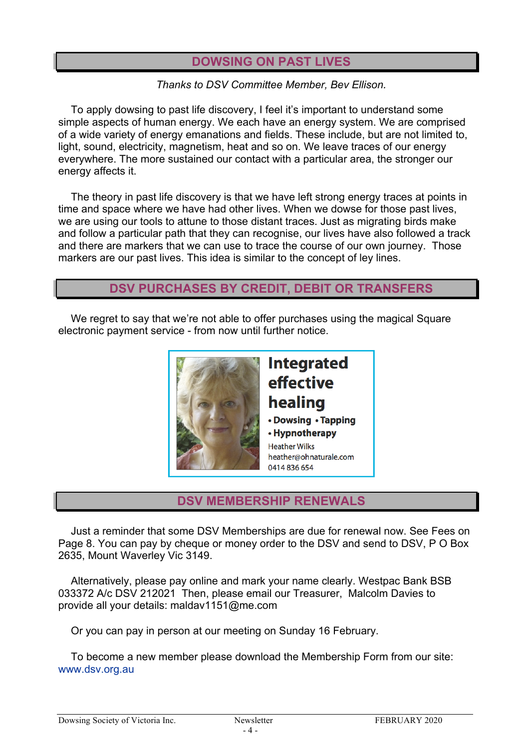### **DOWSING ON PAST LIVES**

*Thanks to DSV Committee Member, Bev Ellison.*

To apply dowsing to past life discovery, I feel it's important to understand some simple aspects of human energy. We each have an energy system. We are comprised of a wide variety of energy emanations and fields. These include, but are not limited to, light, sound, electricity, magnetism, heat and so on. We leave traces of our energy everywhere. The more sustained our contact with a particular area, the stronger our energy affects it.

The theory in past life discovery is that we have left strong energy traces at points in time and space where we have had other lives. When we dowse for those past lives, we are using our tools to attune to those distant traces. Just as migrating birds make and follow a particular path that they can recognise, our lives have also followed a track and there are markers that we can use to trace the course of our own journey. Those markers are our past lives. This idea is similar to the concept of ley lines.

### **DSV PURCHASES BY CREDIT, DEBIT OR TRANSFERS**

We regret to say that we're not able to offer purchases using the magical Square electronic payment service - from now until further notice.



**DSV MEMBERSHIP RENEWALS**

Just a reminder that some DSV Memberships are due for renewal now. See Fees on Page 8. You can pay by cheque or money order to the DSV and send to DSV, P O Box 2635, Mount Waverley Vic 3149.

Alternatively, please pay online and mark your name clearly. Westpac Bank BSB 033372 A/c DSV 212021 Then, please email our Treasurer, Malcolm Davies to provide all your details: maldav1151@me.com

Or you can pay in person at our meeting on Sunday 16 February.

To become a new member please download the Membership Form from our site: www.dsv.org.au